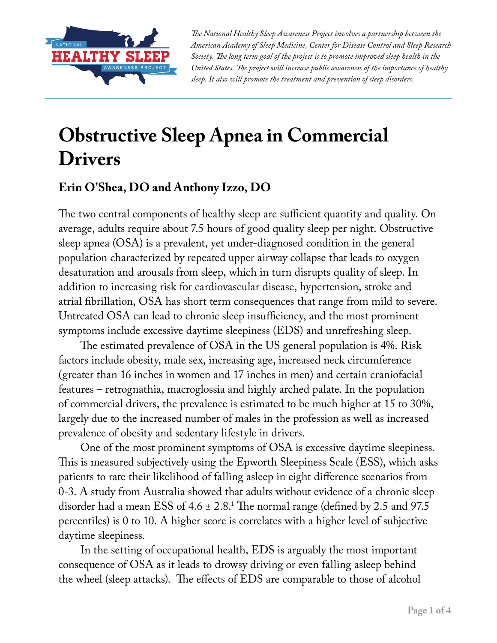

*The National Healthy Sleep Awareness Project involves a partnership between the American Academy of Sleep Medicine, Center for Disease Control and Sleep Research Society. The long term goal of the project is to promote improved sleep health in the United States. The project will increase public awareness of the importance of healthy sleep. It also will promote the treatment and prevention of sleep disorders.*

## **Obstructive Sleep Apnea in Commercial Drivers**

## **Erin O'Shea, DO and Anthony Izzo, DO**

The two central components of healthy sleep are sufficient quantity and quality. On average, adults require about 7.5 hours of good quality sleep per night. Obstructive sleep apnea (OSA) is a prevalent, yet under-diagnosed condition in the general population characterized by repeated upper airway collapse that leads to oxygen desaturation and arousals from sleep, which in turn disrupts quality of sleep. In addition to increasing risk for cardiovascular disease, hypertension, stroke and atrial fibrillation, OSA has short term consequences that range from mild to severe. Untreated OSA can lead to chronic sleep insufficiency, and the most prominent symptoms include excessive daytime sleepiness (EDS) and unrefreshing sleep.

The estimated prevalence of OSA in the US general population is 4%. Risk factors include obesity, male sex, increasing age, increased neck circumference (greater than 16 inches in women and 17 inches in men) and certain craniofacial features – retrognathia, macroglossia and highly arched palate. In the population of commercial drivers, the prevalence is estimated to be much higher at 15 to 30%, largely due to the increased number of males in the profession as well as increased prevalence of obesity and sedentary lifestyle in drivers.

One of the most prominent symptoms of OSA is excessive daytime sleepiness. This is measured subjectively using the Epworth Sleepiness Scale (ESS), which asks patients to rate their likelihood of falling asleep in eight difference scenarios from 0-3. A study from Australia showed that adults without evidence of a chronic sleep disorder had a mean ESS of 4.6  $\pm$  2.8.<sup>1</sup> The normal range (defined by 2.5 and 97.5 percentiles) is 0 to 10. A higher score is correlates with a higher level of subjective daytime sleepiness.

In the setting of occupational health, EDS is arguably the most important consequence of OSA as it leads to drowsy driving or even falling asleep behind the wheel (sleep attacks). The effects of EDS are comparable to those of alcohol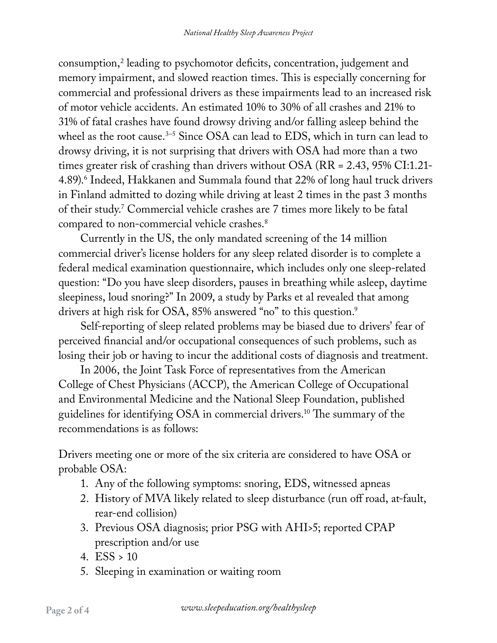consumption,2 leading to psychomotor deficits, concentration, judgement and memory impairment, and slowed reaction times. This is especially concerning for commercial and professional drivers as these impairments lead to an increased risk of motor vehicle accidents. An estimated 10% to 30% of all crashes and 21% to 31% of fatal crashes have found drowsy driving and/or falling asleep behind the wheel as the root cause.<sup>3–5</sup> Since OSA can lead to EDS, which in turn can lead to drowsy driving, it is not surprising that drivers with OSA had more than a two times greater risk of crashing than drivers without OSA (RR = 2.43, 95% CI:1.21- 4.89).<sup>6</sup> Indeed, Hakkanen and Summala found that 22% of long haul truck drivers in Finland admitted to dozing while driving at least 2 times in the past 3 months of their study.7 Commercial vehicle crashes are 7 times more likely to be fatal compared to non-commercial vehicle crashes.<sup>8</sup>

Currently in the US, the only mandated screening of the 14 million commercial driver's license holders for any sleep related disorder is to complete a federal medical examination questionnaire, which includes only one sleep-related question: "Do you have sleep disorders, pauses in breathing while asleep, daytime sleepiness, loud snoring?" In 2009, a study by Parks et al revealed that among drivers at high risk for OSA, 85% answered "no" to this question.<sup>9</sup>

Self-reporting of sleep related problems may be biased due to drivers' fear of perceived financial and/or occupational consequences of such problems, such as losing their job or having to incur the additional costs of diagnosis and treatment.

In 2006, the Joint Task Force of representatives from the American College of Chest Physicians (ACCP), the American College of Occupational and Environmental Medicine and the National Sleep Foundation, published guidelines for identifying OSA in commercial drivers.10 The summary of the recommendations is as follows:

Drivers meeting one or more of the six criteria are considered to have OSA or probable OSA:

- 1. Any of the following symptoms: snoring, EDS, witnessed apneas
- 2. History of MVA likely related to sleep disturbance (run off road, at-fault, rear-end collision)
- 3. Previous OSA diagnosis; prior PSG with AHI>5; reported CPAP prescription and/or use
- 4.  $ESS > 10$
- 5. Sleeping in examination or waiting room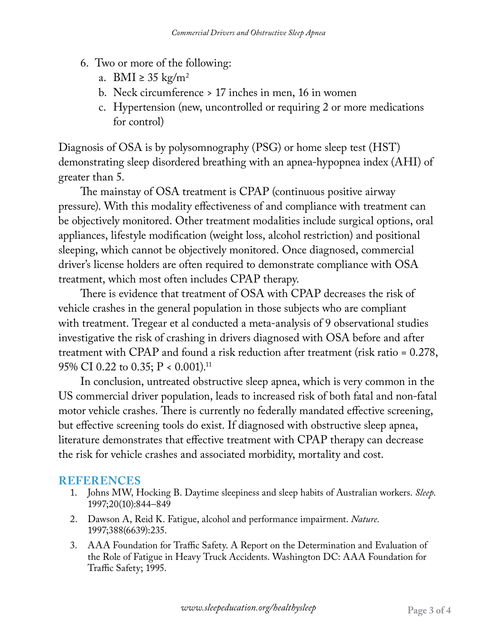- 6. Two or more of the following:
	- a. BMI  $\geq$  35 kg/m<sup>2</sup>
	- b. Neck circumference > 17 inches in men, 16 in women
	- c. Hypertension (new, uncontrolled or requiring 2 or more medications for control)

Diagnosis of OSA is by polysomnography (PSG) or home sleep test (HST) demonstrating sleep disordered breathing with an apnea-hypopnea index (AHI) of greater than 5.

The mainstay of OSA treatment is CPAP (continuous positive airway pressure). With this modality effectiveness of and compliance with treatment can be objectively monitored. Other treatment modalities include surgical options, oral appliances, lifestyle modification (weight loss, alcohol restriction) and positional sleeping, which cannot be objectively monitored. Once diagnosed, commercial driver's license holders are often required to demonstrate compliance with OSA treatment, which most often includes CPAP therapy.

There is evidence that treatment of OSA with CPAP decreases the risk of vehicle crashes in the general population in those subjects who are compliant with treatment. Tregear et al conducted a meta-analysis of 9 observational studies investigative the risk of crashing in drivers diagnosed with OSA before and after treatment with CPAP and found a risk reduction after treatment (risk ratio = 0.278, 95% CI 0.22 to 0.35; P < 0.001).11

In conclusion, untreated obstructive sleep apnea, which is very common in the US commercial driver population, leads to increased risk of both fatal and non-fatal motor vehicle crashes. There is currently no federally mandated effective screening, but effective screening tools do exist. If diagnosed with obstructive sleep apnea, literature demonstrates that effective treatment with CPAP therapy can decrease the risk for vehicle crashes and associated morbidity, mortality and cost.

## **REFERENCES**

- 1. Johns MW, Hocking B. Daytime sleepiness and sleep habits of Australian workers. *Sleep*. 1997;20(10):844–849
- 2. Dawson A, Reid K. Fatigue, alcohol and performance impairment. *Nature*. 1997;388(6639):235.
- 3. AAA Foundation for Traffic Safety. A Report on the Determination and Evaluation of the Role of Fatigue in Heavy Truck Accidents. Washington DC: AAA Foundation for Traffic Safety; 1995.